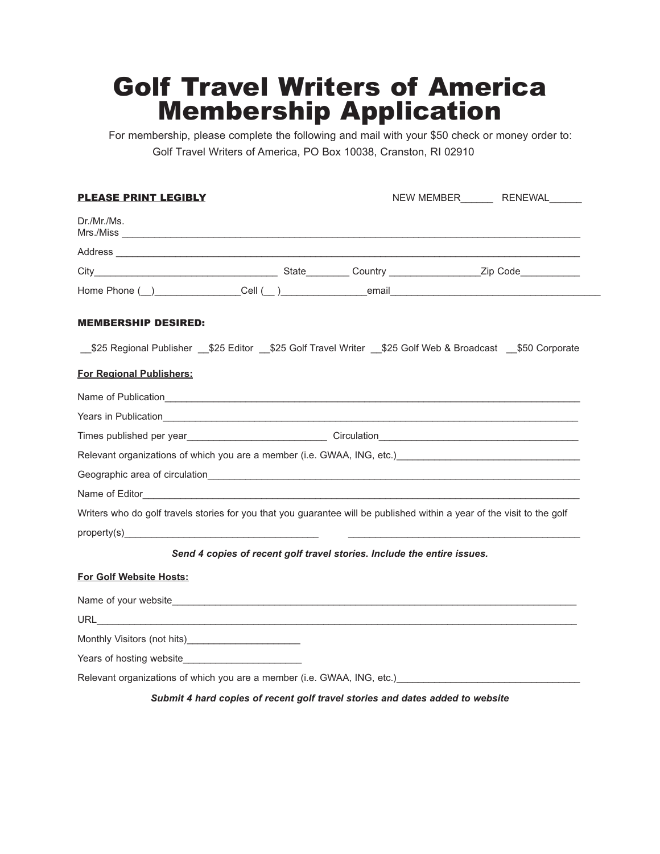## Golf Travel Writers of America Membership Application

For membership, please complete the following and mail with your \$50 check or money order to: Golf Travel Writers of America, PO Box 10038, Cranston, RI 02910

| <b>PLEASE PRINT LEGIBLY</b>                                                                                                                                                                                                    |                                                                         | NEW MEMBER_________ RENEWAL_______                                                                                      |  |
|--------------------------------------------------------------------------------------------------------------------------------------------------------------------------------------------------------------------------------|-------------------------------------------------------------------------|-------------------------------------------------------------------------------------------------------------------------|--|
| Dr./Mr./Ms.                                                                                                                                                                                                                    |                                                                         |                                                                                                                         |  |
|                                                                                                                                                                                                                                |                                                                         |                                                                                                                         |  |
|                                                                                                                                                                                                                                |                                                                         |                                                                                                                         |  |
|                                                                                                                                                                                                                                |                                                                         |                                                                                                                         |  |
| <b>MEMBERSHIP DESIRED:</b>                                                                                                                                                                                                     |                                                                         |                                                                                                                         |  |
|                                                                                                                                                                                                                                |                                                                         | \$25 Regional Publisher \$25 Editor \$25 Golf Travel Writer \$25 Golf Web & Broadcast \$50 Corporate                    |  |
| <b>For Regional Publishers:</b>                                                                                                                                                                                                |                                                                         |                                                                                                                         |  |
| Name of Publication experience and the contract of the contract of the contract of the contract of the contract of the contract of the contract of the contract of the contract of the contract of the contract of the contrac |                                                                         |                                                                                                                         |  |
|                                                                                                                                                                                                                                |                                                                         |                                                                                                                         |  |
|                                                                                                                                                                                                                                |                                                                         |                                                                                                                         |  |
|                                                                                                                                                                                                                                |                                                                         | Relevant organizations of which you are a member (i.e. GWAA, ING, etc.)                                                 |  |
|                                                                                                                                                                                                                                |                                                                         |                                                                                                                         |  |
|                                                                                                                                                                                                                                |                                                                         |                                                                                                                         |  |
|                                                                                                                                                                                                                                |                                                                         | Writers who do golf travels stories for you that you guarantee will be published within a year of the visit to the golf |  |
|                                                                                                                                                                                                                                |                                                                         |                                                                                                                         |  |
|                                                                                                                                                                                                                                | Send 4 copies of recent golf travel stories. Include the entire issues. |                                                                                                                         |  |
| For Golf Website Hosts:                                                                                                                                                                                                        |                                                                         |                                                                                                                         |  |
|                                                                                                                                                                                                                                |                                                                         |                                                                                                                         |  |
|                                                                                                                                                                                                                                |                                                                         |                                                                                                                         |  |
|                                                                                                                                                                                                                                |                                                                         |                                                                                                                         |  |
|                                                                                                                                                                                                                                |                                                                         |                                                                                                                         |  |
| Relevant organizations of which you are a member (i.e. GWAA, ING, etc.)                                                                                                                                                        |                                                                         |                                                                                                                         |  |

*Submit 4 hard copies of recent golf travel stories and dates added to website*